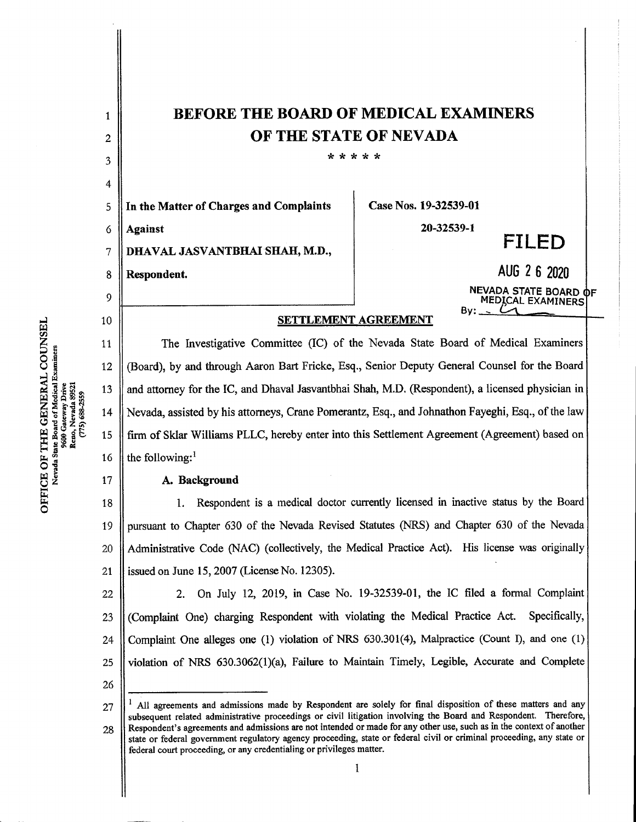| $\mathbf{1}$   | <b>BEFORE THE BOARD OF MEDICAL EXAMINERS</b>                                                                                                                                                                                                                                                                                                                                                                                                                                                                                                            |                                                   |
|----------------|---------------------------------------------------------------------------------------------------------------------------------------------------------------------------------------------------------------------------------------------------------------------------------------------------------------------------------------------------------------------------------------------------------------------------------------------------------------------------------------------------------------------------------------------------------|---------------------------------------------------|
| $\overline{c}$ | OF THE STATE OF NEVADA<br>* * * * *                                                                                                                                                                                                                                                                                                                                                                                                                                                                                                                     |                                                   |
| 3              |                                                                                                                                                                                                                                                                                                                                                                                                                                                                                                                                                         |                                                   |
| 4<br>5         | In the Matter of Charges and Complaints                                                                                                                                                                                                                                                                                                                                                                                                                                                                                                                 | Case Nos. 19-32539-01                             |
| 6              | <b>Against</b>                                                                                                                                                                                                                                                                                                                                                                                                                                                                                                                                          | 20-32539-1                                        |
| 7              | DHAVAL JASVANTBHAI SHAH, M.D.,                                                                                                                                                                                                                                                                                                                                                                                                                                                                                                                          | FILED                                             |
| 8              | Respondent.                                                                                                                                                                                                                                                                                                                                                                                                                                                                                                                                             | AUG 2 6 2020                                      |
| 9              |                                                                                                                                                                                                                                                                                                                                                                                                                                                                                                                                                         | NEVADA STATE BOARD OF<br><b>MEDICAL EXAMINERS</b> |
| 10             | Bv:<br>SETTLEMENT AGREEMENT                                                                                                                                                                                                                                                                                                                                                                                                                                                                                                                             |                                                   |
| 11             | The Investigative Committee (IC) of the Nevada State Board of Medical Examiners                                                                                                                                                                                                                                                                                                                                                                                                                                                                         |                                                   |
| 12             | (Board), by and through Aaron Bart Fricke, Esq., Senior Deputy General Counsel for the Board                                                                                                                                                                                                                                                                                                                                                                                                                                                            |                                                   |
| 13             | and attorney for the IC, and Dhaval Jasvantbhai Shah, M.D. (Respondent), a licensed physician in                                                                                                                                                                                                                                                                                                                                                                                                                                                        |                                                   |
| 14             | Nevada, assisted by his attorneys, Crane Pomerantz, Esq., and Johnathon Fayeghi, Esq., of the law                                                                                                                                                                                                                                                                                                                                                                                                                                                       |                                                   |
| 15             | firm of Sklar Williams PLLC, hereby enter into this Settlement Agreement (Agreement) based on                                                                                                                                                                                                                                                                                                                                                                                                                                                           |                                                   |
| 16             | the following: $1$                                                                                                                                                                                                                                                                                                                                                                                                                                                                                                                                      |                                                   |
| 17             | A. Background                                                                                                                                                                                                                                                                                                                                                                                                                                                                                                                                           |                                                   |
| 18             | Respondent is a medical doctor currently licensed in inactive status by the Board<br>1.                                                                                                                                                                                                                                                                                                                                                                                                                                                                 |                                                   |
| 19             | pursuant to Chapter 630 of the Nevada Revised Statutes (NRS) and Chapter 630 of the Nevada                                                                                                                                                                                                                                                                                                                                                                                                                                                              |                                                   |
| 20             | Administrative Code (NAC) (collectively, the Medical Practice Act). His license was originally                                                                                                                                                                                                                                                                                                                                                                                                                                                          |                                                   |
| 21             | issued on June 15, 2007 (License No. 12305).                                                                                                                                                                                                                                                                                                                                                                                                                                                                                                            |                                                   |
| 22             | On July 12, 2019, in Case No. 19-32539-01, the IC filed a formal Complaint<br>2.                                                                                                                                                                                                                                                                                                                                                                                                                                                                        |                                                   |
| 23             | (Complaint One) charging Respondent with violating the Medical Practice Act.<br>Specifically,                                                                                                                                                                                                                                                                                                                                                                                                                                                           |                                                   |
| 24             | Complaint One alleges one (1) violation of NRS 630.301(4), Malpractice (Count I), and one (1)                                                                                                                                                                                                                                                                                                                                                                                                                                                           |                                                   |
| 25             | violation of NRS 630.3062(1)(a), Failure to Maintain Timely, Legible, Accurate and Complete                                                                                                                                                                                                                                                                                                                                                                                                                                                             |                                                   |
| 26             |                                                                                                                                                                                                                                                                                                                                                                                                                                                                                                                                                         |                                                   |
| 27<br>28       | All agreements and admissions made by Respondent are solely for final disposition of these matters and any<br>subsequent related administrative proceedings or civil litigation involving the Board and Respondent. Therefore,<br>Respondent's agreements and admissions are not intended or made for any other use, such as in the context of another<br>state or federal government regulatory agency proceeding, state or federal civil or criminal proceeding, any state or<br>federal court proceeding, or any credentialing or privileges matter. |                                                   |
|                | 1                                                                                                                                                                                                                                                                                                                                                                                                                                                                                                                                                       |                                                   |
|                |                                                                                                                                                                                                                                                                                                                                                                                                                                                                                                                                                         |                                                   |

e š H a' vad<br>. <u>8</u><br>이 2 E CO<br>Geneel<br>Geneel w en

 $\bar{z}$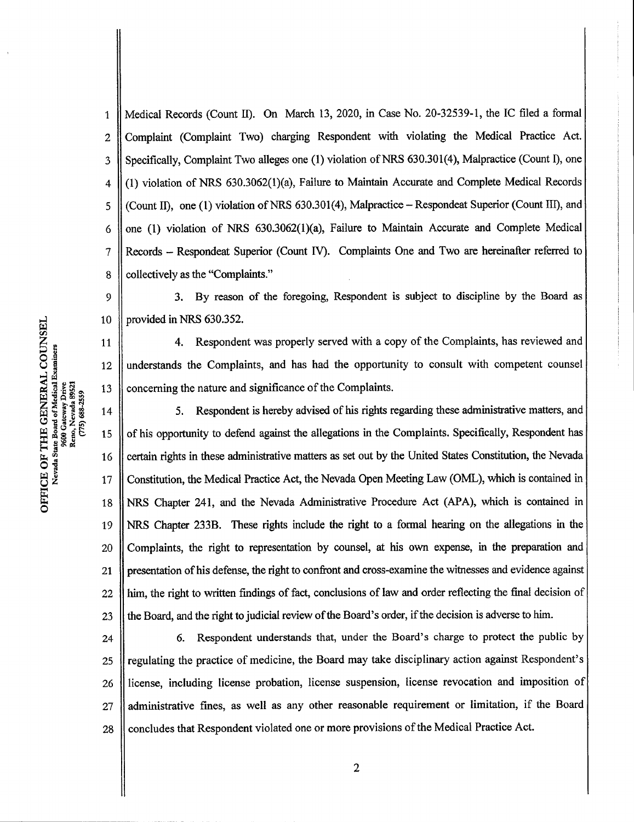Medical Records(CountII). On March 13, 2020, in Case No. 20-32539-1, the IC filed a formal  $\mathbf{1}$ Complaint (Complaint Two) charging Respondent with violating the Medical Practice Act. 2 Specifically, Complaint Two alleges one (1) violation of NRS 630.301(4), Malpractice (Count I), one 3 (1) violation of NRS 630.3062(1)(a), Failure to Maintain Accurate and Complete Medical Records 4 (Count II), one (1) violation of NRS  $630.301(4)$ , Malpractice - Respondeat Superior (Count III), and 5 one (1) violation of NRS 630.3062(1)(a), Failure to Maintain Accurate and Complete Medical 6 Records - Respondeat Superior (Count IV). Complaints One and Two are hereinafter referred to 7 collectively as the "Complaints." 8

3. By reason of the foregoing, Respondent is subject to discipline by the Board as provided in NRS 630.352. 9 10

4. Respondent was properly served with a copy of the Complaints, has reviewed and understands the Complaints, and has had the opportunity to consult with competent counsel concerning the nature and significance of the Complaints. 11 12 13

5. Respondent is hereby advised of his rights regarding these administrative matters, and of his opportunity to defend against the allegations in the Complaints. Specifically, Respondent has certain rights in these administrative matters as set out by the United States Constitution, the Nevada Constitution, the Medical Practice Act, the Nevada Open Meeting Law (OML), which is contained in NRS Chapter 241, and the Nevada Administrative Procedure Act (APA), which is contained in NRS Chapter 233B. These rights include the right to a formal hearing on the allegations in the Complaints, the right to representation by counsel, at his own expense, in the preparation and presentation of his defense, the right to confront and cross-examine the witnesses and evidence against him, the right to written findings of fact, conclusions of law and order reflecting the final decision of the Board, and the right to judicial review of the Board's order, if the decision is adverse to him. 14 15 16 17 18 19 20 21 22 23

6.Respondent understands that, under the Board's charge to protect the public by regulating the practice of medicine, the Board may take disciplinary action against Respondent's license, including license probation, license suspension, license revocation and imposition of administrative fines, as well as any other reasonable requirement or limitation, if the Board concludes that Respondent violated one or more provisions of the Medical Practice Act. 24 25 26 27 28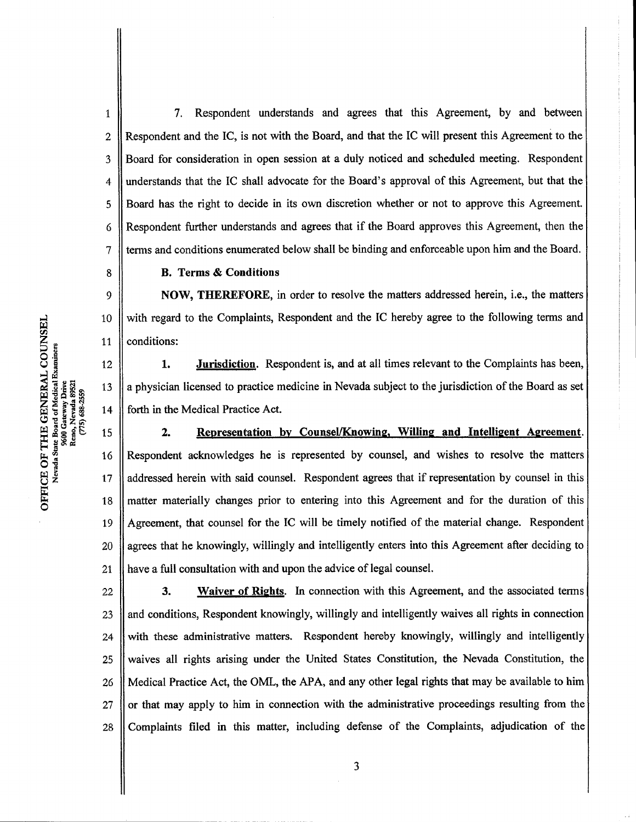7. Respondent understands and agrees that this Agreement, by and between Respondent and the IC, is not with the Board, and that the IC will present this Agreement to the Board for consideration in open session at a duly noticed and scheduled meeting. Respondent understands that the IC shall advocate for the Board's approval of this Agreement, but that the Board hasthe right to decide in its own discretion whether or not to approve this Agreement. Respondent further understands and agrees that if the Board approves this Agreement, then the terms and conditions enumerated below shall be binding and enforceable upon him and the Board. 1 2 3 4 5 6 7

B. Terms& Conditions

NOW, THEREFORE, in order to resolve the matters addressed herein, i.e., the matters with regard to the Complaints, Respondent and the IC hereby agree to the following terms and conditions:

1. **Jurisdiction.** Respondent is, and at all times relevant to the Complaints has been, 12 a physician licensed to practice medicine in Nevada subject to the jurisdiction of the Board as set 14 forth in the Medical Practice Act.

2. Representation by Counsel/Knowing, Willing and Intelligent Agreement. Respondent acknowledges he is represented by counsel, and wishes to resolve the matters addressed herein with said counsel. Respondent agrees that if representation by counsel in this matter materially changes prior to entering into this Agreement and for the duration of this Agreement, that counsel for the IC will be timely notified of the material change. Respondent agrees that he knowingly, willingly and intelligently enters into this Agreement after deciding to have a full consultation with and upon the advice of legal counsel. 16 17 18 19 20 21

3. Waiver of Rights. In connection with this Agreement, and the associated terms and conditions, Respondent knowingly, willingly and intelligently waives all rights in connection with these administrative matters. Respondent hereby knowingly, willingly and intelligently waives all rights arising under the United States Constitution, the Nevada Constitution, the Medical Practice Act, the OML, the APA, and any other legal rights that may be available to him or that may apply to him in connection with the administrative proceedings resulting from the Complaints filed in this matter, including defense of the Complaints, adjudication of the 22 23 24 25 26 27 28

8

9

10

11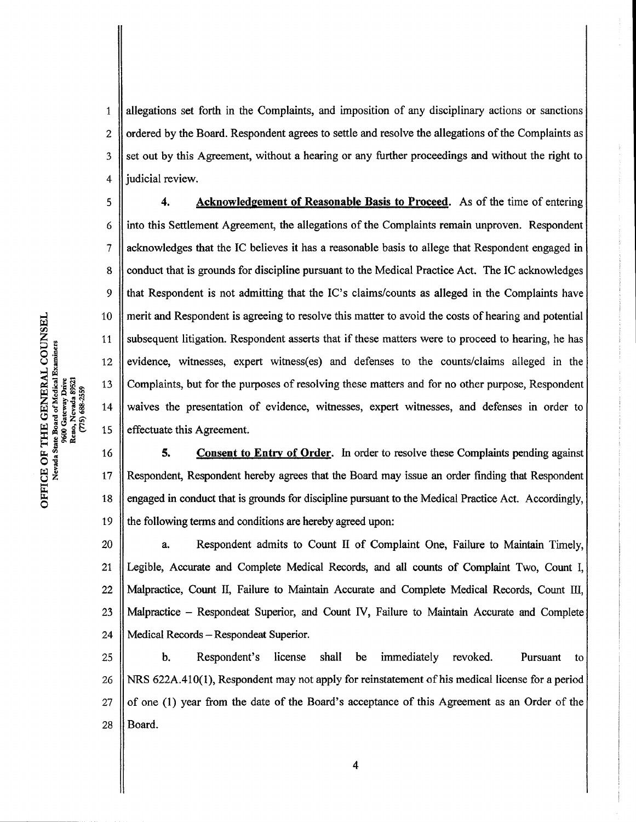allegations set forth in the Complaints, and imposition of any disciplinary actions or sanctions ordered by the Board. Respondent agrees to settle and resolve the allegations of the Complaints as set out by this Agreement, without a hearing or any further proceedings and without the right to judicial review. 1 2 3 4

4. Acknowledgement of Reasonable Basis to Proceed. As of the time of entering into this Settlement Agreement, the allegations of the Complaints remain unproven. Respondent acknowledges that the IC believes it has a reasonable basis to allege that Respondent engaged in conduct that is grounds for discipline pursuant to the Medical Practice Act. The IC acknowledges that Respondent is not admitting that the IC's claims/counts as alleged in the Complaints have merit and Respondent is agreeing to resolve this matter to avoid the costs of hearing and potential subsequent litigation. Respondent asserts that if these matters were to proceed to hearing, he has evidence, witnesses, expert witness(es) and defenses to the counts/claims alleged in the Complaints, but for the purposes of resolving these matters and for no other purpose, Respondent waives the presentation of evidence, witnesses, expert witnesses, and defenses in order to effectuate this Agreement. 5 6 7 8 9 10 11 12 13 14 15

5. Consent to Entry of Order. In order to resolve these Complaints pending against Respondent, Respondent hereby agrees that the Board may issue an order finding that Respondent engaged in conduct that is grounds for discipline pursuant to the Medical Practice Act. Accordingly, the following terms and conditions are hereby agreed upon: 16 17 18 19

a. Respondent admits to Count II of Complaint One, Failure to Maintain Timely, Legible, Accurate and Complete Medical Records, and all counts of Complaint Two, Count I, Malpractice, Count II, Failure to Maintain Accurate and Complete Medical Records, Count III, Malpractice - Respondeat Superior, and Count IV, Failure to Maintain Accurate and Complete Medical Records - Respondeat Superior. Records – Respondent Superior, and Count TV, Tandre to Triannum Accurate and Complete<br>b. Respondent's license shall be immediately revoked. Pursuant to 20 21 22 23 24

NRS  $622A.410(1)$ , Respondent may not apply for reinstatement of his medical license for a period of one (1) year from the date of the Board's acceptance of this Agreement as an Order of the Board. 25 26 27 28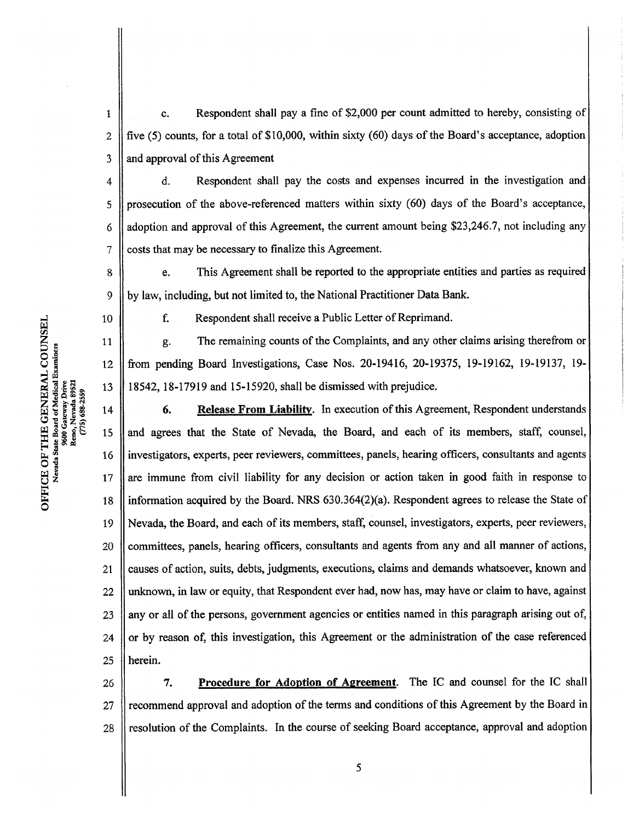$\mathbf{1}$ c. Respondent shall pay a fine of \$2,000 per count admitted to hereby, consisting of 2 five  $(5)$  counts, for a total of \$10,000, within sixty  $(60)$  days of the Board's acceptance, adoption and approval of this Agreement 3

d. Respondent shall pay the costs and expenses incurred in the investigation and prosecution of the above-referenced matters within sixty (60) days of the Board's acceptance, adoption and approval of this Agreement, the current amount being \$23,246.7, not including any costs that may be necessary to finalize this Agreement. 4 5 6 7

e. This Agreement shall be reported to the appropriate entities and parties as required by law, including, but not limited to, the National Practitioner Data Bank. including, but not limited to, the National Practitioner Data Band<br>F. Respondent shall receive a Public Letter of Reprimand.

aNerada State Board of Medical Examiners<br>9600 Gateway Drive<br>Reno, Nevada 89521 ್  $(775) 688 - 2559$ 101<br>22

8

9

10

11

12

13

f. Respondent shall receive a Public Letter of Reprimand.<br>g. The remaining counts of the Complaints, and any other claims arising therefrom or from pending Board Investigations, Case Nos. 20-19416, 20-19375, 19-19162, 19-19137, 19- 18542, 18-17919 and 15-15920, shall be dismissed with prejudice.

6. Release From Liability. In execution of this Agreement, Respondent understands and agrees that the State of Nevada, the Board, and each ofits members, staff, counsel, investigators, experts, peerreviewers, committees, panels, hearing officers, consultants and agents are immune from civil liability for any decision or action taken in good faith in response to information acquired by the Board. NRS 630.364(2)(a). Respondent agrees to release the State of Nevada, the Board, and each of its members, staff, counsel, investigators, experts, peer reviewers, committees, panels, hearing officers, consultants and agents from any and all manner of actions, causes of action, suits, debts, judgments, executions, claims and demands whatsoever, known and unknown, in law or equity, that Respondent ever had, now has, may have or claim to have, against any or all of the persons, government agencies or entities named in this paragraph arising out of. or by reason of, this investigation, this Agreement or the administration of the case referenced herein. 14 15 16 17 18 19 20 21 22 23 24 25

7. Procedure for Adoption of Agreement. The IC and counsel for the IC shall recommend approval and adoption of the terms and conditions of this Agreement by the Board in resolution of the Complaints. In the course of seeking Board acceptance, approval and adoption 26 27 28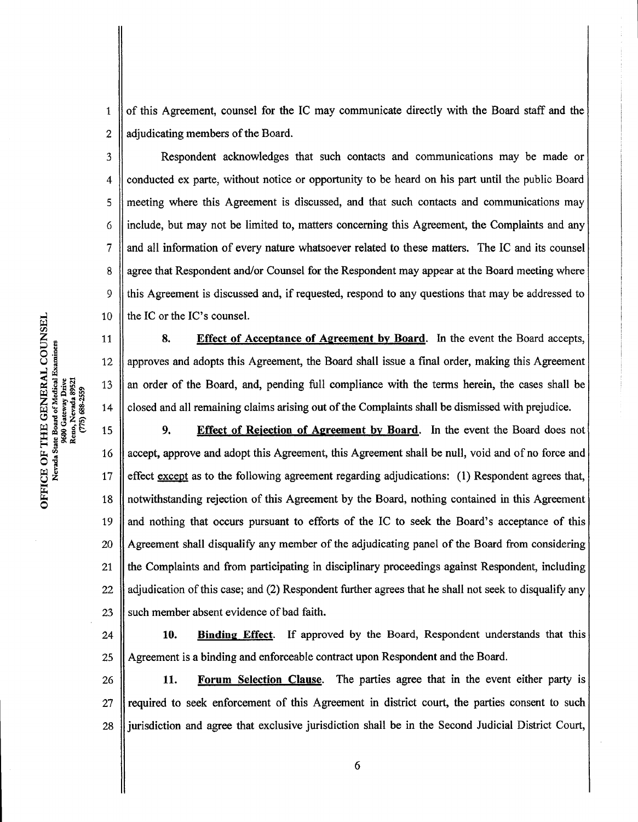ofthis Agreement, counsel for the IC may communicate directly with the Board staff and the adjudicating members of the Board. 1 2

Respondent acknowledges that such contacts and communications may be made or conducted ex parte, without notice or opportunity to be heard on his part until the public Board meeting where this Agreement is discussed, and that such contacts and communications may include, but may not be limited to, matters concerning this Agreement, the Complaints and any and all information of every nature whatsoever related to these matters. The IC and its counsel agree that Respondent and/or Counsel for the Respondent may appear at the Board meeting where this Agreement is discussed and, if requested, respond to any questions that may be addressed to the IC or the IC's counsel. 3 4 5 6 7 8 9 10

8. Effect of Acceptance of Agreement by Board. In the event the Board accepts, approves and adopts this Agreement, the Board shall issue a final order, making this Agreement an order ofthe Board, and, pending full compliance with the terms herein, the cases shall be closed and all remaining claims arising out of the Complaints shall be dismissed with prejudice. 9. Effect of Rejection of Agreement by Board. In the event the Board does not<br>9. Effect of Rejection of Agreement by Board. In the event the Board does not 11 12 13 14

accept, approve and adopt this Agreement, this Agreement shall be null, void and of no force and effect except as to the following agreement regarding adjudications:  $(1)$  Respondent agrees that, notwithstanding rejection of this Agreement by the Board, nothing contained in this Agreement and nothing that occurs pursuant to efforts of the IC to seek the Board's acceptance of this Agreement shall disqualify any member of the adjudicating panel of the Board from considering the Complaints and from participating in disciplinary proceedings against Respondent, including adjudication of this case; and (2) Respondent further agrees that he shall not seek to disqualify any such member absent evidence of bad faith. ts 16 17 18 19 20 21 22 23

10. Binding Effect. If approved by the Board, Respondent understands that this Agreement is a binding and enforceable contract upon Respondent and the Board. 24 25

11. Forum Selection Clause. The parties agree that in the event either party is required to seek enforcement of this Agreement in district court, the parties consent to such jurisdiction and agree that exclusive jurisdiction shall be in the Second Judicial District Court, 26 27 28

O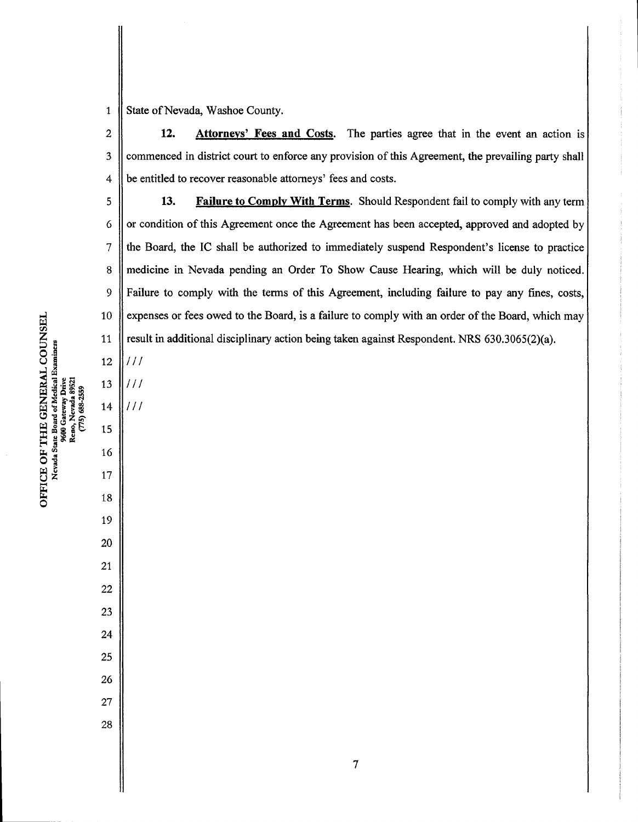State of Nevada, Washoe County. 

12. Attorneys' Fees and Costs. The parties agree that in the event an action is commenced in district court to enforce any provision of this Agreement, the prevailing party shall be entitled to recover reasonable attorneys' fees and costs. 

13. Failure to Comply With Terms. Should Respondent fail to comply with any term or condition ofthis Agreement once the Agreement has been accepted, approved and adopted by the Board, the IC shall be authorized to immediately suspend Respondent's license to practice medicine in Nevada pending an Order To Show Cause Hearing, which will be duly noticed. Failure to comply with the terms of this Agreement, including failure to pay any fines, costs, expenses or fees owed to the Board, is a failure to comply with an order of the Board, which may result in additional disciplinary action being taken against Respondent. NRS  $630.3065(2)(a)$ . 

El. COUN<br>xaniness Reno, Nevada 89521 (775) 688-2559  $\mathop{\rm HH}\limits_{\rm te\,Bo}$ Ħ.  $\sum_{\text{vads}}$ U<br>U<br>Neva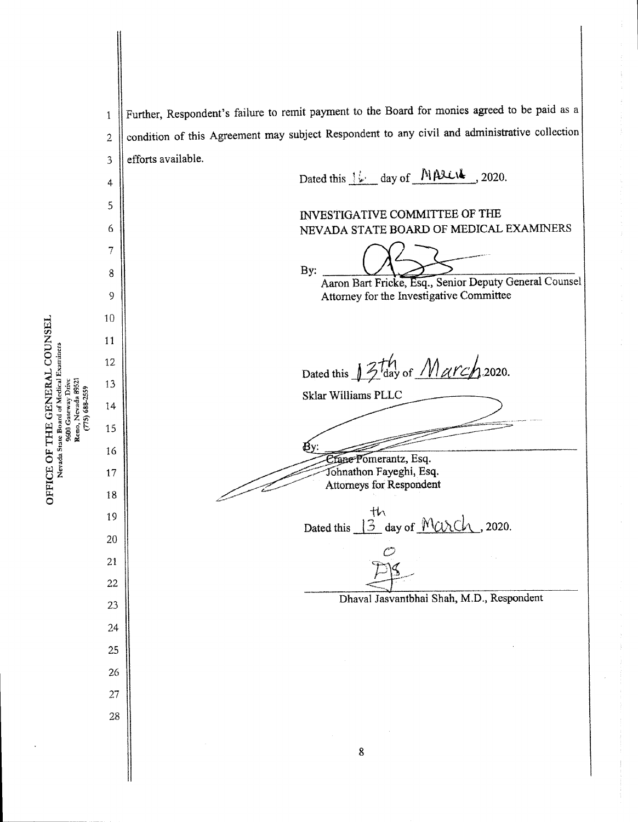Further, Respondent's failure to remit payment to the Board for monies agreed to be paid as a  $\mathbf{1}$ condition of this Agreement may subject Respondent to any civil and administrative collection  $\sqrt{2}$ efforts available.  $\overline{3}$ Dated this  $1\overline{\smash[b]{\mathcal{L}}}$  day of MALUL, 2020.  $\ddot{4}$ 5 INVESTIGATIVE COMMITTEE OF THE 6 NEVADA STATE BOARD OF MEDICAL EXAMINERS  $\overline{7}$ By: 8 Aaron Bart Fricke, Esq., Senior Deputy General Counsel Attorney for the Investigative Committee 9 10 11 12 ^ill^ <sup>13</sup> Dated this  $\frac{1}{2}$  day of  $\frac{1}{2}$   $\frac{1}{2}$  2020.  $\begin{array}{l} \text{R}\text{NER} \ \text{redu} \ \text{M}\text{NDE} \ \text{M}\text{NDE} \ \text{M}\text{NDE} \ \text{M}\text{NDE} \ \text{M}\text{NDE} \ \text{M}\text{NDE} \ \text{M}\text{NDE} \ \text{M}\text{NDE} \ \text{M}\text{NDE} \ \text{M}\text{NDE} \ \text{M}\text{NDE} \ \text{M}\text{NDE} \ \text{M}\text{NDE} \ \text{M}\text{NDE} \ \text{M}\text{NDE} \ \text{M}\text{NDE} \ \text{M}\text{NDE} \ \text{M}\text{N$ Sklar Williams PLLC 15 16 *<u>Etane Pomerantz</u>*, Esq. ^^-^^^^^-^jbhnathon Fayeghi, Esq. 17 Attorneys for Respondent 18  $rac{th}{3}$  day of  $Muxch$ , 2020. 19 20  $\mathcal{C}^*$ 21 22 Dhaval Jasvantbhai Shah, M.D., Respondent 23 24 25 26 27 28 8

i E OF T<br>evade Su es<br>2

UNSE<br>¤

 $\begin{array}{c} \textrm{U}\ \textrm{H}\ \textrm{M}\ \textrm{E}\ \textrm{M}\ \textrm{H}\ \textrm{M} \end{array}$